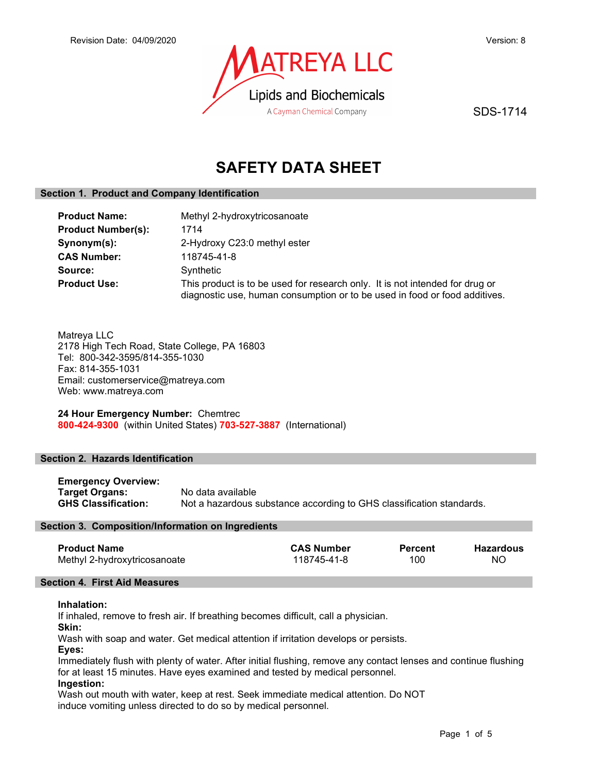

SDS-1714

# SAFETY DATA SHEET

# Section 1. Product and Company Identification

| <b>Product Name:</b><br><b>Product Number(s):</b> | Methyl 2-hydroxytricosanoate<br>1714                                                                                                                       |  |  |
|---------------------------------------------------|------------------------------------------------------------------------------------------------------------------------------------------------------------|--|--|
| Synonym(s):                                       | 2-Hydroxy C23:0 methyl ester                                                                                                                               |  |  |
| <b>CAS Number:</b>                                | 118745-41-8                                                                                                                                                |  |  |
| Source:                                           | Synthetic                                                                                                                                                  |  |  |
| <b>Product Use:</b>                               | This product is to be used for research only. It is not intended for drug or<br>diagnostic use, human consumption or to be used in food or food additives. |  |  |

Matreya LLC 2178 High Tech Road, State College, PA 16803 Tel: 800-342-3595/814-355-1030 Fax: 814-355-1031 Email: customerservice@matreya.com Web: www.matreya.com

24 Hour Emergency Number: Chemtrec 800-424-9300 (within United States) 703-527-3887 (International)

# Section 2. Hazards Identification

Emergency Overview: Target Organs: No data available GHS Classification: Not a hazardous substance according to GHS classification standards.

## Section 3. Composition/Information on Ingredients

| <b>Product Name</b>          | <b>CAS Number</b> | Percent | <b>Hazardous</b> |
|------------------------------|-------------------|---------|------------------|
| Methyl 2-hydroxytricosanoate | 118745-41-8       | 100     | <b>NO</b>        |

## Section 4. First Aid Measures

## Inhalation:

If inhaled, remove to fresh air. If breathing becomes difficult, call a physician.

Skin:

Wash with soap and water. Get medical attention if irritation develops or persists.

Eyes:

Immediately flush with plenty of water. After initial flushing, remove any contact lenses and continue flushing for at least 15 minutes. Have eyes examined and tested by medical personnel.

## Ingestion:

Wash out mouth with water, keep at rest. Seek immediate medical attention. Do NOT induce vomiting unless directed to do so by medical personnel.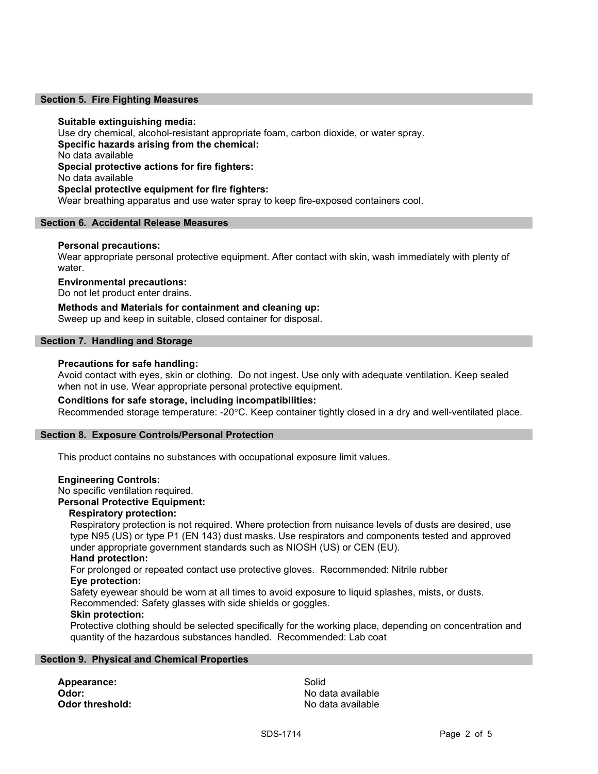## Section 5. Fire Fighting Measures

## Suitable extinguishing media:

Use dry chemical, alcohol-resistant appropriate foam, carbon dioxide, or water spray. Specific hazards arising from the chemical: No data available Special protective actions for fire fighters: No data available Special protective equipment for fire fighters: Wear breathing apparatus and use water spray to keep fire-exposed containers cool.

## Section 6. Accidental Release Measures

#### Personal precautions:

Wear appropriate personal protective equipment. After contact with skin, wash immediately with plenty of water.

#### Environmental precautions:

Do not let product enter drains.

## Methods and Materials for containment and cleaning up:

Sweep up and keep in suitable, closed container for disposal.

## Section 7. Handling and Storage

## Precautions for safe handling:

Avoid contact with eyes, skin or clothing. Do not ingest. Use only with adequate ventilation. Keep sealed when not in use. Wear appropriate personal protective equipment.

## Conditions for safe storage, including incompatibilities:

Recommended storage temperature: -20°C. Keep container tightly closed in a dry and well-ventilated place.

## Section 8. Exposure Controls/Personal Protection

This product contains no substances with occupational exposure limit values.

#### Engineering Controls:

No specific ventilation required.

## Personal Protective Equipment:

#### Respiratory protection:

Respiratory protection is not required. Where protection from nuisance levels of dusts are desired, use type N95 (US) or type P1 (EN 143) dust masks. Use respirators and components tested and approved under appropriate government standards such as NIOSH (US) or CEN (EU).

## Hand protection:

For prolonged or repeated contact use protective gloves. Recommended: Nitrile rubber Eye protection:

Safety eyewear should be worn at all times to avoid exposure to liquid splashes, mists, or dusts. Recommended: Safety glasses with side shields or goggles.

#### Skin protection:

Protective clothing should be selected specifically for the working place, depending on concentration and quantity of the hazardous substances handled. Recommended: Lab coat

#### Section 9. Physical and Chemical Properties

Appearance: Solid

**Odor:** No data available **Odor threshold:** No data available in the state of the state of the state of the state and the state of the state of the state of the state and the state of the state of the state of the state of the state of the state of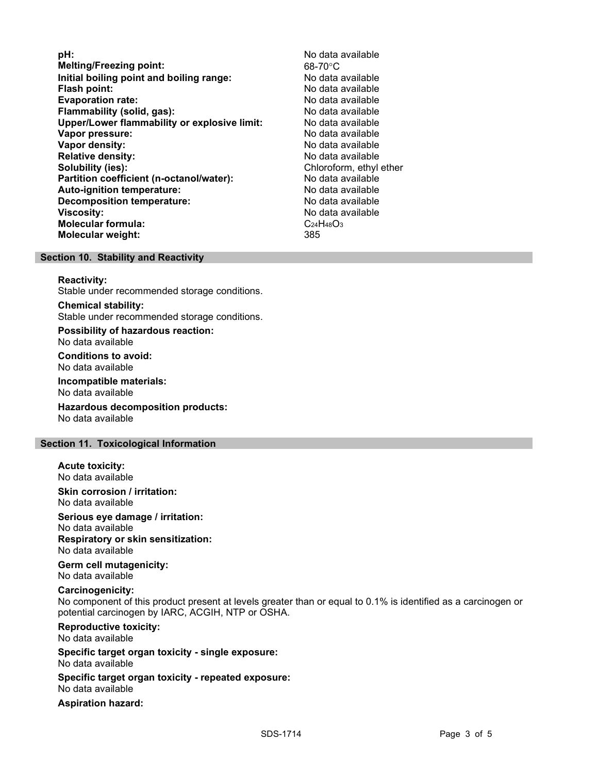**pH:**  $\blacksquare$ Melting/Freezing point: 68-70°C Initial boiling point and boiling range: No data available Flash point: No data available Evaporation rate: No data available **Flammability (solid, gas):** No data available is not all the set of the set of the set of the set of the set of the set of the set of the set of the set of the set of the set of the set of the set of the set of the set of Upper/Lower flammability or explosive limit: No data available Vapor pressure: No data available Vapor density: No data available Relative density: No data available Solubility (ies): Chloroform, ethyl ether Partition coefficient (n-octanol/water): No data available Auto-ignition temperature: No data available Decomposition temperature: No data available Viscosity: No data available Molecular formula: C<sub>24</sub>H<sub>48</sub>O<sub>3</sub> Molecular weight: 385

### Section 10. Stability and Reactivity

#### Reactivity:

Stable under recommended storage conditions.

## Chemical stability:

Stable under recommended storage conditions.

Possibility of hazardous reaction: No data available

#### Conditions to avoid: No data available

Incompatible materials: No data available

Hazardous decomposition products: No data available

### Section 11. Toxicological Information

## Acute toxicity:

No data available

#### Skin corrosion / irritation: No data available

Serious eye damage / irritation: No data available Respiratory or skin sensitization: No data available

## Germ cell mutagenicity: No data available

## Carcinogenicity:

No component of this product present at levels greater than or equal to 0.1% is identified as a carcinogen or potential carcinogen by IARC, ACGIH, NTP or OSHA.

#### Reproductive toxicity: No data available

Specific target organ toxicity - single exposure: No data available

### Specific target organ toxicity - repeated exposure: No data available

Aspiration hazard: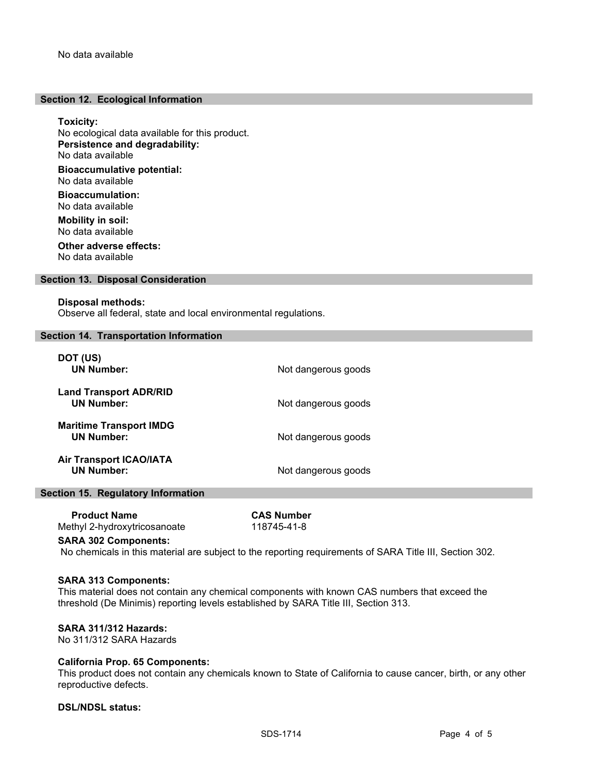## Section 12. Ecological Information

Toxicity: No ecological data available for this product. Persistence and degradability: No data available Bioaccumulative potential: No data available Bioaccumulation: No data available Mobility in soil: No data available Other adverse effects:

No data available

## Section 13. Disposal Consideration

#### Disposal methods:

Observe all federal, state and local environmental regulations.

#### Section 14. Transportation Information

| DOT (US)<br><b>UN Number:</b>                       | Not dangerous goods |
|-----------------------------------------------------|---------------------|
| <b>Land Transport ADR/RID</b><br><b>UN Number:</b>  | Not dangerous goods |
| <b>Maritime Transport IMDG</b><br><b>UN Number:</b> | Not dangerous goods |
| <b>Air Transport ICAO/IATA</b><br><b>UN Number:</b> | Not dangerous goods |

## Section 15. Regulatory Information

 Product Name CAS Number Methyl 2-hydroxytricosanoate 118745-41-8

# SARA 302 Components:

No chemicals in this material are subject to the reporting requirements of SARA Title III, Section 302.

#### SARA 313 Components:

This material does not contain any chemical components with known CAS numbers that exceed the threshold (De Minimis) reporting levels established by SARA Title III, Section 313.

# SARA 311/312 Hazards:

No 311/312 SARA Hazards

## California Prop. 65 Components:

This product does not contain any chemicals known to State of California to cause cancer, birth, or any other reproductive defects.

# DSL/NDSL status: